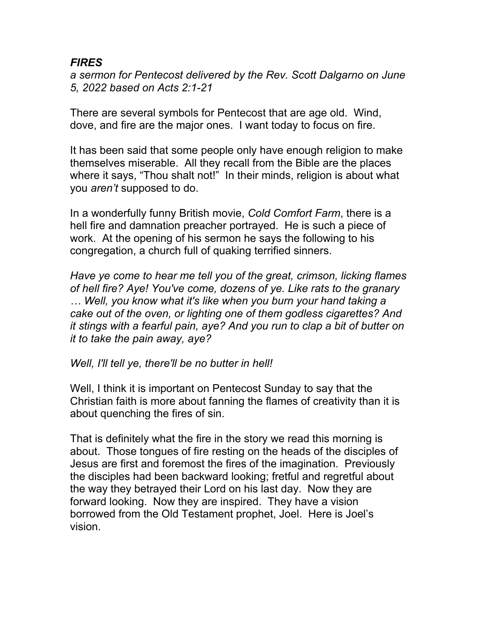## *FIRES*

*a sermon for Pentecost delivered by the Rev. Scott Dalgarno on June 5, 2022 based on Acts 2:1-21*

There are several symbols for Pentecost that are age old. Wind, dove, and fire are the major ones. I want today to focus on fire.

It has been said that some people only have enough religion to make themselves miserable. All they recall from the Bible are the places where it says, "Thou shalt not!" In their minds, religion is about what you *aren't* supposed to do.

In a wonderfully funny British movie, *Cold Comfort Farm*, there is a hell fire and damnation preacher portrayed. He is such a piece of work. At the opening of his sermon he says the following to his congregation, a church full of quaking terrified sinners.

*Have ye come to hear me tell you of the great, crimson, licking flames of hell fire? Aye! You've come, dozens of ye. Like rats to the granary … Well, you know what it's like when you burn your hand taking a cake out of the oven, or lighting one of them godless cigarettes? And it stings with a fearful pain, aye? And you run to clap a bit of butter on it to take the pain away, aye?* 

*Well, I'll tell ye, there'll be no butter in hell!*

Well, I think it is important on Pentecost Sunday to say that the Christian faith is more about fanning the flames of creativity than it is about quenching the fires of sin.

That is definitely what the fire in the story we read this morning is about. Those tongues of fire resting on the heads of the disciples of Jesus are first and foremost the fires of the imagination. Previously the disciples had been backward looking; fretful and regretful about the way they betrayed their Lord on his last day. Now they are forward looking. Now they are inspired. They have a vision borrowed from the Old Testament prophet, Joel. Here is Joel's vision.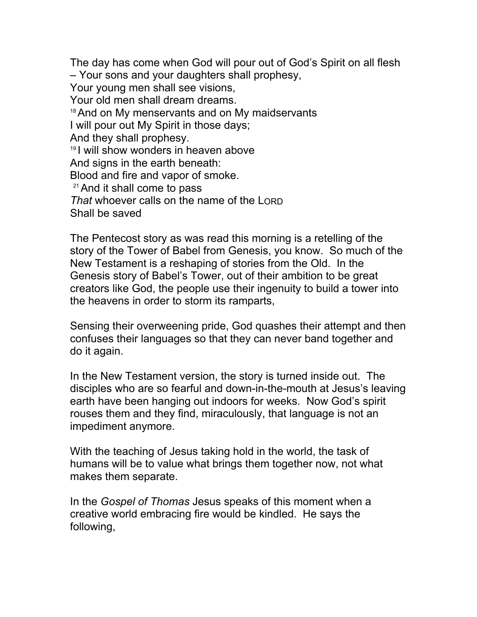The day has come when God will pour out of God's Spirit on all flesh – Your sons and your daughters shall prophesy, Your young men shall see visions, Your old men shall dream dreams. <sup>18</sup> And on My menservants and on My maidservants I will pour out My Spirit in those days; And they shall prophesy. <sup>19</sup>I will show wonders in heaven above And signs in the earth beneath: Blood and fire and vapor of smoke. <sup>21</sup>And it shall come to pass *That* whoever calls on the name of the LORD Shall be saved

The Pentecost story as was read this morning is a retelling of the story of the Tower of Babel from Genesis, you know. So much of the New Testament is a reshaping of stories from the Old. In the Genesis story of Babel's Tower, out of their ambition to be great creators like God, the people use their ingenuity to build a tower into the heavens in order to storm its ramparts,

Sensing their overweening pride, God quashes their attempt and then confuses their languages so that they can never band together and do it again.

In the New Testament version, the story is turned inside out. The disciples who are so fearful and down-in-the-mouth at Jesus's leaving earth have been hanging out indoors for weeks. Now God's spirit rouses them and they find, miraculously, that language is not an impediment anymore.

With the teaching of Jesus taking hold in the world, the task of humans will be to value what brings them together now, not what makes them separate.

In the *Gospel of Thomas* Jesus speaks of this moment when a creative world embracing fire would be kindled. He says the following,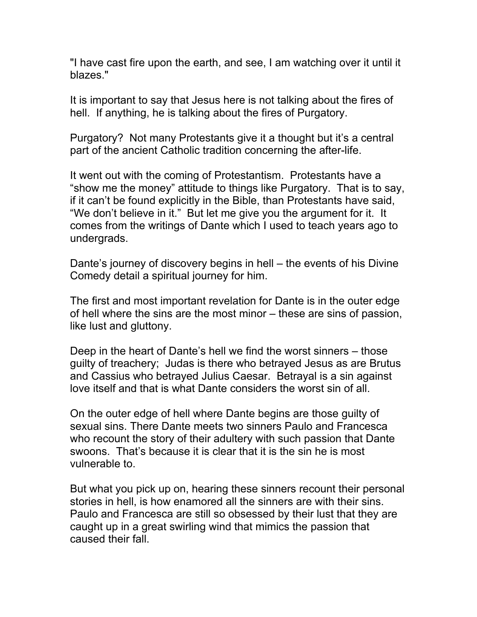"I have cast fire upon the earth, and see, I am watching over it until it blazes."

It is important to say that Jesus here is not talking about the fires of hell. If anything, he is talking about the fires of Purgatory.

Purgatory? Not many Protestants give it a thought but it's a central part of the ancient Catholic tradition concerning the after-life.

It went out with the coming of Protestantism. Protestants have a "show me the money" attitude to things like Purgatory. That is to say, if it can't be found explicitly in the Bible, than Protestants have said, "We don't believe in it." But let me give you the argument for it. It comes from the writings of Dante which I used to teach years ago to undergrads.

Dante's journey of discovery begins in hell – the events of his Divine Comedy detail a spiritual journey for him.

The first and most important revelation for Dante is in the outer edge of hell where the sins are the most minor – these are sins of passion, like lust and gluttony.

Deep in the heart of Dante's hell we find the worst sinners – those guilty of treachery; Judas is there who betrayed Jesus as are Brutus and Cassius who betrayed Julius Caesar. Betrayal is a sin against love itself and that is what Dante considers the worst sin of all.

On the outer edge of hell where Dante begins are those guilty of sexual sins. There Dante meets two sinners Paulo and Francesca who recount the story of their adultery with such passion that Dante swoons. That's because it is clear that it is the sin he is most vulnerable to.

But what you pick up on, hearing these sinners recount their personal stories in hell, is how enamored all the sinners are with their sins. Paulo and Francesca are still so obsessed by their lust that they are caught up in a great swirling wind that mimics the passion that caused their fall.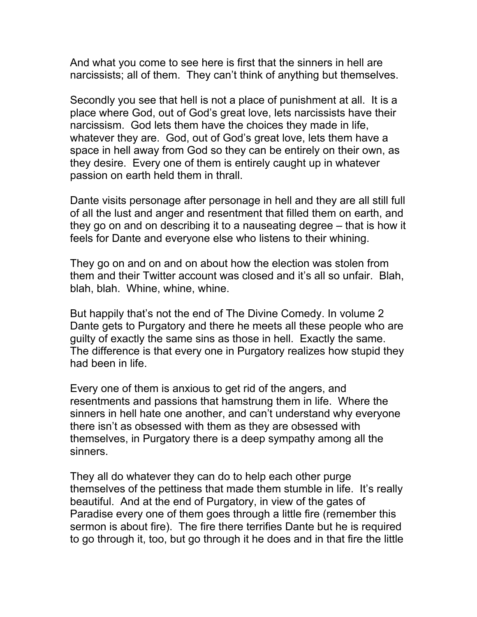And what you come to see here is first that the sinners in hell are narcissists; all of them. They can't think of anything but themselves.

Secondly you see that hell is not a place of punishment at all. It is a place where God, out of God's great love, lets narcissists have their narcissism. God lets them have the choices they made in life, whatever they are. God, out of God's great love, lets them have a space in hell away from God so they can be entirely on their own, as they desire. Every one of them is entirely caught up in whatever passion on earth held them in thrall.

Dante visits personage after personage in hell and they are all still full of all the lust and anger and resentment that filled them on earth, and they go on and on describing it to a nauseating degree – that is how it feels for Dante and everyone else who listens to their whining.

They go on and on and on about how the election was stolen from them and their Twitter account was closed and it's all so unfair. Blah, blah, blah. Whine, whine, whine.

But happily that's not the end of The Divine Comedy. In volume 2 Dante gets to Purgatory and there he meets all these people who are guilty of exactly the same sins as those in hell. Exactly the same. The difference is that every one in Purgatory realizes how stupid they had been in life.

Every one of them is anxious to get rid of the angers, and resentments and passions that hamstrung them in life. Where the sinners in hell hate one another, and can't understand why everyone there isn't as obsessed with them as they are obsessed with themselves, in Purgatory there is a deep sympathy among all the sinners.

They all do whatever they can do to help each other purge themselves of the pettiness that made them stumble in life. It's really beautiful. And at the end of Purgatory, in view of the gates of Paradise every one of them goes through a little fire (remember this sermon is about fire). The fire there terrifies Dante but he is required to go through it, too, but go through it he does and in that fire the little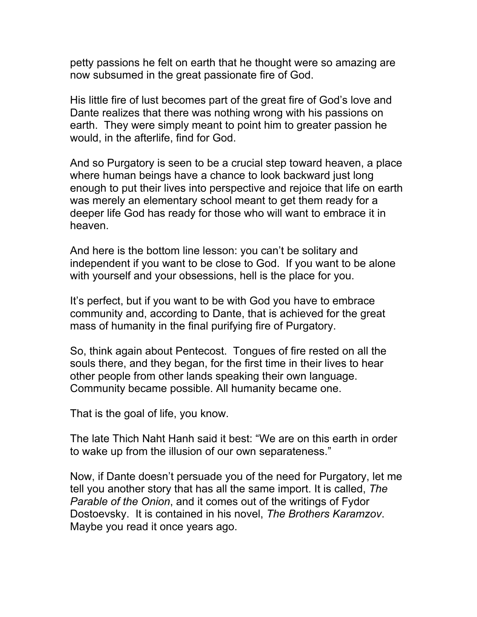petty passions he felt on earth that he thought were so amazing are now subsumed in the great passionate fire of God.

His little fire of lust becomes part of the great fire of God's love and Dante realizes that there was nothing wrong with his passions on earth. They were simply meant to point him to greater passion he would, in the afterlife, find for God.

And so Purgatory is seen to be a crucial step toward heaven, a place where human beings have a chance to look backward just long enough to put their lives into perspective and rejoice that life on earth was merely an elementary school meant to get them ready for a deeper life God has ready for those who will want to embrace it in heaven.

And here is the bottom line lesson: you can't be solitary and independent if you want to be close to God. If you want to be alone with yourself and your obsessions, hell is the place for you.

It's perfect, but if you want to be with God you have to embrace community and, according to Dante, that is achieved for the great mass of humanity in the final purifying fire of Purgatory.

So, think again about Pentecost. Tongues of fire rested on all the souls there, and they began, for the first time in their lives to hear other people from other lands speaking their own language. Community became possible. All humanity became one.

That is the goal of life, you know.

The late Thich Naht Hanh said it best: "We are on this earth in order to wake up from the illusion of our own separateness."

Now, if Dante doesn't persuade you of the need for Purgatory, let me tell you another story that has all the same import. It is called, *The Parable of the Onion*, and it comes out of the writings of Fydor Dostoevsky. It is contained in his novel, *The Brothers Karamzov*. Maybe you read it once years ago.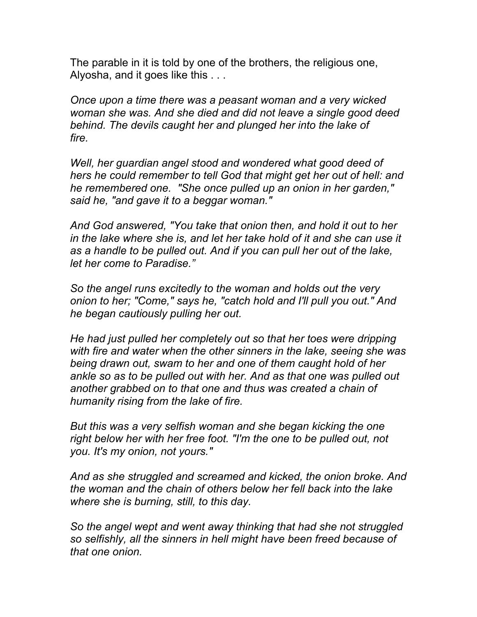The parable in it is told by one of the brothers, the religious one, Alyosha, and it goes like this . . .

*Once upon a time there was a peasant woman and a very wicked woman she was. And she died and did not leave a single good deed behind. The devils caught her and plunged her into the lake of fire.* 

*Well, her guardian angel stood and wondered what good deed of hers he could remember to tell God that might get her out of hell: and he remembered one. "She once pulled up an onion in her garden," said he, "and gave it to a beggar woman."*

*And God answered, "You take that onion then, and hold it out to her in the lake where she is, and let her take hold of it and she can use it as a handle to be pulled out. And if you can pull her out of the lake, let her come to Paradise."* 

*So the angel runs excitedly to the woman and holds out the very onion to her; "Come," says he, "catch hold and I'll pull you out." And he began cautiously pulling her out.* 

*He had just pulled her completely out so that her toes were dripping with fire and water when the other sinners in the lake, seeing she was being drawn out, swam to her and one of them caught hold of her ankle so as to be pulled out with her. And as that one was pulled out another grabbed on to that one and thus was created a chain of humanity rising from the lake of fire.* 

*But this was a very selfish woman and she began kicking the one right below her with her free foot. "I'm the one to be pulled out, not you. It's my onion, not yours."* 

*And as she struggled and screamed and kicked, the onion broke. And the woman and the chain of others below her fell back into the lake where she is burning, still, to this day.* 

*So the angel wept and went away thinking that had she not struggled so selfishly, all the sinners in hell might have been freed because of that one onion.*